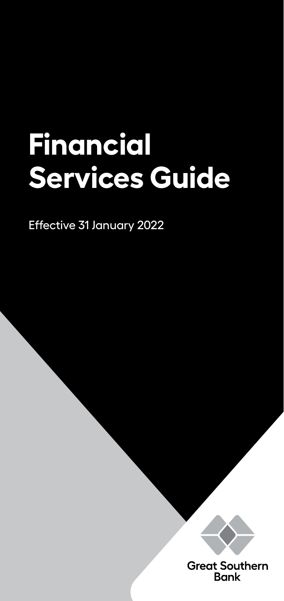# **Financial Services Guide**

Effective 31 January 2022



**Great Southern Bank**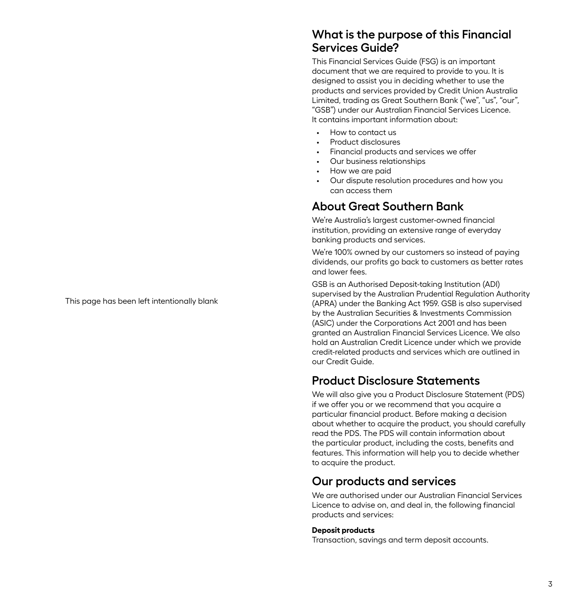This page has been left intentionally blank

## **What is the purpose of this Financial Services Guide?**

This Financial Services Guide (FSG) is an important document that we are required to provide to you. It is designed to assist you in deciding whether to use the products and services provided by Credit Union Australia Limited, trading as Great Southern Bank ("we", "us", "our", "GSB") under our Australian Financial Services Licence. It contains important information about:

- How to contact us
- Product disclosures
- Financial products and services we offer
- Our business relationships
- How we are paid
- Our dispute resolution procedures and how you can access them

# **About Great Southern Bank**

We're Australia's largest customer-owned financial institution, providing an extensive range of everyday banking products and services.

We're 100% owned by our customers so instead of paying dividends, our profits go back to customers as better rates and lower fees.

GSB is an Authorised Deposit-taking Institution (ADI) supervised by the Australian Prudential Regulation Authority (APRA) under the Banking Act 1959. GSB is also supervised by the Australian Securities & Investments Commission (ASIC) under the Corporations Act 2001 and has been granted an Australian Financial Services Licence. We also hold an Australian Credit Licence under which we provide credit-related products and services which are outlined in our Credit Guide.

# **Product Disclosure Statements**

We will also give you a Product Disclosure Statement (PDS) if we offer you or we recommend that you acquire a particular financial product. Before making a decision about whether to acquire the product, you should carefully read the PDS. The PDS will contain information about the particular product, including the costs, benefits and features. This information will help you to decide whether to acquire the product.

# **Our products and services**

We are authorised under our Australian Financial Services Licence to advise on, and deal in, the following financial products and services:

#### **Deposit products**

Transaction, savings and term deposit accounts.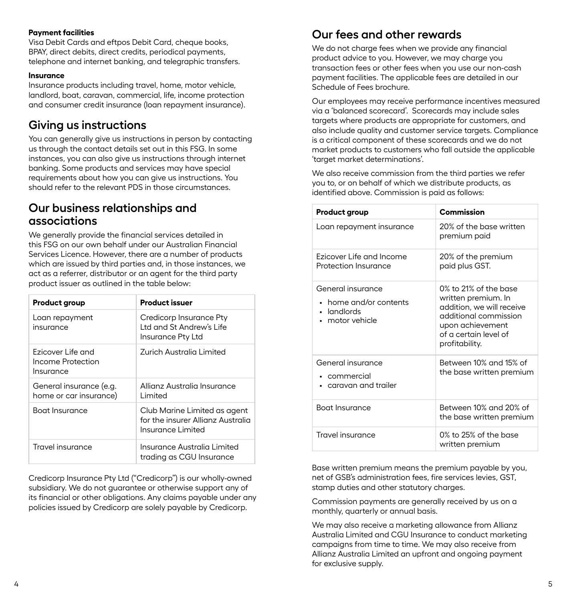#### **Payment facilities**

Visa Debit Cards and eftpos Debit Card, cheque books, BPAY, direct debits, direct credits, periodical payments, telephone and internet banking, and telegraphic transfers.

#### **Insurance**

Insurance products including travel, home, motor vehicle, landlord, boat, caravan, commercial, life, income protection and consumer credit insurance (loan repayment insurance).

## **Giving us instructions**

You can generally give us instructions in person by contacting us through the contact details set out in this FSG. In some instances, you can also give us instructions through internet banking. Some products and services may have special requirements about how you can give us instructions. You should refer to the relevant PDS in those circumstances.

### **Our business relationships and associations**

We generally provide the financial services detailed in this FSG on our own behalf under our Australian Financial Services Licence. However, there are a number of products which are issued by third parties and, in those instances, we act as a referrer, distributor or an agent for the third party product issuer as outlined in the table below:

| Product group                                       | Product issuer                                                                         |
|-----------------------------------------------------|----------------------------------------------------------------------------------------|
| Loan repayment<br>insurance                         | Credicorp Insurance Pty<br>I td and St Andrew's Life<br>Insurance Pty Ltd              |
| Ezicover Life and<br>Income Protection<br>Insurance | Zurich Australia Limited                                                               |
| General insurance (e.g.<br>home or car insurance)   | Allianz Australia Insurance<br>Limited                                                 |
| Boat Insurance                                      | Club Marine Limited as agent<br>for the insurer Allianz Australia<br>Insurance Limited |
| Travel insurance                                    | Insurance Australia Limited<br>trading as CGU Insurance                                |

Credicorp Insurance Pty Ltd ("Credicorp") is our wholly-owned subsidiary. We do not guarantee or otherwise support any of its financial or other obligations. Any claims payable under any policies issued by Credicorp are solely payable by Credicorp.

## **Our fees and other rewards**

We do not charge fees when we provide any financial product advice to you. However, we may charge you transaction fees or other fees when you use our non-cash payment facilities. The applicable fees are detailed in our Schedule of Fees brochure.

Our employees may receive performance incentives measured via a 'balanced scorecard'. Scorecards may include sales targets where products are appropriate for customers, and also include quality and customer service targets. Compliance is a critical component of these scorecards and we do not market products to customers who fall outside the applicable 'target market determinations'.

We also receive commission from the third parties we refer you to, or on behalf of which we distribute products, as identified above. Commission is paid as follows:

| Product group                                                                          | Commission                                                                                                                                                        |
|----------------------------------------------------------------------------------------|-------------------------------------------------------------------------------------------------------------------------------------------------------------------|
| Loan repayment insurance                                                               | 20% of the base written<br>premium paid                                                                                                                           |
| Ezicover Life and Income<br>Protection Insurance                                       | 20% of the premium<br>paid plus GST.                                                                                                                              |
| General insurance<br>• home and/or contents<br>landlords<br>$\bullet$<br>motor vehicle | 0% to 21% of the base<br>written premium. In<br>addition, we will receive<br>additional commission<br>upon achievement<br>of a certain level of<br>profitability. |
| General insurance<br>• commercial<br>caravan and trailer                               | Between 10% and 15% of<br>the base written premium                                                                                                                |
| Boat Insurance                                                                         | Between 10% and 20% of<br>the base written premium                                                                                                                |
| Travel insurance                                                                       | $0\%$ to 25% of the base<br>written premium                                                                                                                       |

Base written premium means the premium payable by you, net of GSB's administration fees, fire services levies, GST, stamp duties and other statutory charges.

Commission payments are generally received by us on a monthly, quarterly or annual basis.

We may also receive a marketing allowance from Allianz Australia Limited and CGU Insurance to conduct marketing campaigns from time to time. We may also receive from Allianz Australia Limited an upfront and ongoing payment for exclusive supply.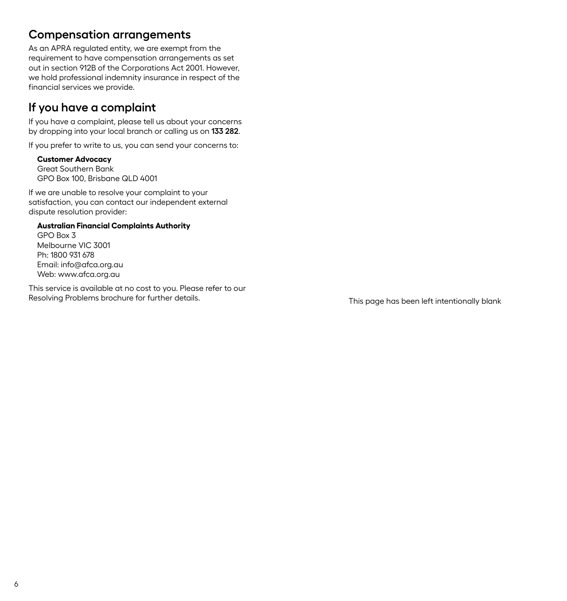## **Compensation arrangements**

As an APRA regulated entity, we are exempt from the requirement to have compensation arrangements as set out in section 912B of the Corporations Act 2001. However, we hold professional indemnity insurance in respect of the financial services we provide.

# **If you have a complaint**

If you have a complaint, please tell us about your concerns by dropping into your local branch or calling us on **133 282**.

If you prefer to write to us, you can send your concerns to:

#### **Customer Advocacy**

Great Southern Bank GPO Box 100, Brisbane QLD 4001

If we are unable to resolve your complaint to your satisfaction, you can contact our independent external dispute resolution provider:

#### **Australian Financial Complaints Authority**

GPO Box 3 Melbourne VIC 3001 Ph: 1800 931 678 Email: info@afca.org.au Web: www.afca.org.au

This service is available at no cost to you. Please refer to our Resolving Problems brochure for further details. This page has been left intentionally blank